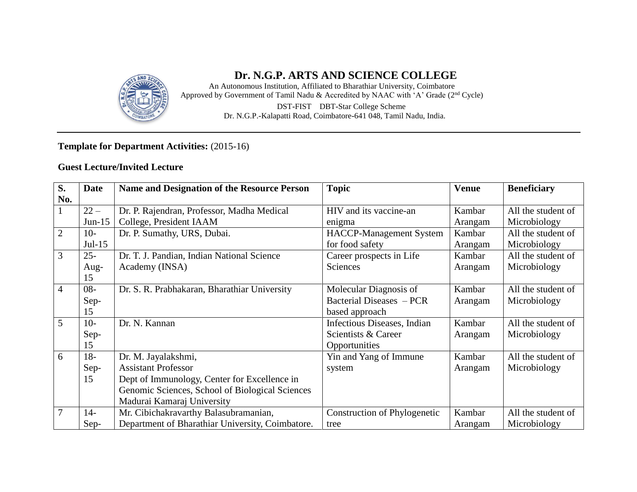

## **Dr. N.G.P. ARTS AND SCIENCE COLLEGE**

An Autonomous Institution, Affiliated to Bharathiar University, Coimbatore Approved by Government of Tamil Nadu & Accredited by NAAC with 'A' Grade (2<sup>nd</sup> Cycle) DST**-**FIST DBT**-**Star College Scheme Dr. N.G.P.**-**Kalapatti Road, Coimbatore**-**641 048, Tamil Nadu, India.

## **Template for Department Activities:** (2015-16)

### **Guest Lecture/Invited Lecture**

| S.             | <b>Date</b> | <b>Name and Designation of the Resource Person</b> | <b>Topic</b>                   | <b>Venue</b> | <b>Beneficiary</b> |
|----------------|-------------|----------------------------------------------------|--------------------------------|--------------|--------------------|
| No.            |             |                                                    |                                |              |                    |
|                | $22 -$      | Dr. P. Rajendran, Professor, Madha Medical         | HIV and its vaccine-an         | Kambar       | All the student of |
|                | $Jun-15$    | College, President IAAM                            | enigma                         | Arangam      | Microbiology       |
| $\overline{2}$ | $10-$       | Dr. P. Sumathy, URS, Dubai.                        | <b>HACCP-Management System</b> | Kambar       | All the student of |
|                | $Jul-15$    |                                                    | for food safety                | Arangam      | Microbiology       |
| 3              | $25 -$      | Dr. T. J. Pandian, Indian National Science         | Career prospects in Life       | Kambar       | All the student of |
|                | Aug-        | Academy (INSA)                                     | <b>Sciences</b>                | Arangam      | Microbiology       |
|                | 15          |                                                    |                                |              |                    |
| $\overline{4}$ | $08 -$      | Dr. S. R. Prabhakaran, Bharathiar University       | Molecular Diagnosis of         | Kambar       | All the student of |
|                | Sep-        |                                                    | Bacterial Diseases – PCR       | Arangam      | Microbiology       |
|                | 15          |                                                    | based approach                 |              |                    |
| 5              | $10-$       | Dr. N. Kannan                                      | Infectious Diseases, Indian    | Kambar       | All the student of |
|                | Sep-        |                                                    | Scientists & Career            | Arangam      | Microbiology       |
|                | 15          |                                                    | Opportunities                  |              |                    |
| 6              | $18-$       | Dr. M. Jayalakshmi,                                | Yin and Yang of Immune         | Kambar       | All the student of |
|                | Sep-        | <b>Assistant Professor</b>                         | system                         | Arangam      | Microbiology       |
|                | 15          | Dept of Immunology, Center for Excellence in       |                                |              |                    |
|                |             | Genomic Sciences, School of Biological Sciences    |                                |              |                    |
|                |             | Madurai Kamaraj University                         |                                |              |                    |
| 7              | $14-$       | Mr. Cibichakravarthy Balasubramanian,              | Construction of Phylogenetic   | Kambar       | All the student of |
|                | Sep-        | Department of Bharathiar University, Coimbatore.   | tree                           | Arangam      | Microbiology       |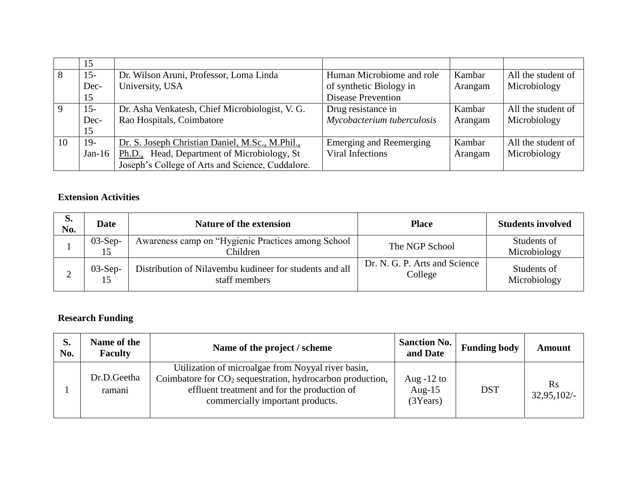|    | 15     |                                                  |                                |         |                    |
|----|--------|--------------------------------------------------|--------------------------------|---------|--------------------|
| 8  | $15 -$ | Dr. Wilson Aruni, Professor, Loma Linda          | Human Microbiome and role      | Kambar  | All the student of |
|    | Dec-   | University, USA                                  | of synthetic Biology in        | Arangam | Microbiology       |
|    | 15     |                                                  | <b>Disease Prevention</b>      |         |                    |
|    | $15 -$ | Dr. Asha Venkatesh, Chief Microbiologist, V. G.  | Drug resistance in             | Kambar  | All the student of |
|    | Dec-   | Rao Hospitals, Coimbatore                        | Mycobacterium tuberculosis     | Arangam | Microbiology       |
|    | 15     |                                                  |                                |         |                    |
| 10 | $19-$  | Dr. S. Joseph Christian Daniel, M.Sc., M.Phil.,  | <b>Emerging and Reemerging</b> | Kambar  | All the student of |
|    | Jan-16 | Ph.D., Head, Department of Microbiology, St      | Viral Infections               | Arangam | Microbiology       |
|    |        | Joseph's College of Arts and Science, Cuddalore. |                                |         |                    |

#### **Extension Activities**

| d.<br>No. | <b>Date</b>     | <b>Nature of the extension</b>                                           | <b>Place</b>                             | <b>Students involved</b>    |
|-----------|-----------------|--------------------------------------------------------------------------|------------------------------------------|-----------------------------|
|           | $03-Sep-$       | Awareness camp on "Hygienic Practices among School<br>Children           | The NGP School                           | Students of<br>Microbiology |
|           | $03-Sep-$<br>15 | Distribution of Nilavembu kudineer for students and all<br>staff members | Dr. N. G. P. Arts and Science<br>College | Students of<br>Microbiology |

## **Research Funding**

| S.<br>No. | Name of the<br><b>Faculty</b> | Name of the project / scheme                                                                                                                                                                          | <b>Sanction No.</b><br>and Date       | <b>Funding body</b> | <b>Amount</b>                |
|-----------|-------------------------------|-------------------------------------------------------------------------------------------------------------------------------------------------------------------------------------------------------|---------------------------------------|---------------------|------------------------------|
|           | Dr.D.Geetha<br>ramani         | Utilization of microalgae from Noyyal river basin,<br>Coimbatore for $CO2$ sequestration, hydrocarbon production,<br>effluent treatment and for the production of<br>commercially important products. | Aug $-12$ to<br>Aug- $15$<br>(3Years) | <b>DST</b>          | $\mathbf{R}$ s<br>32,95,102/ |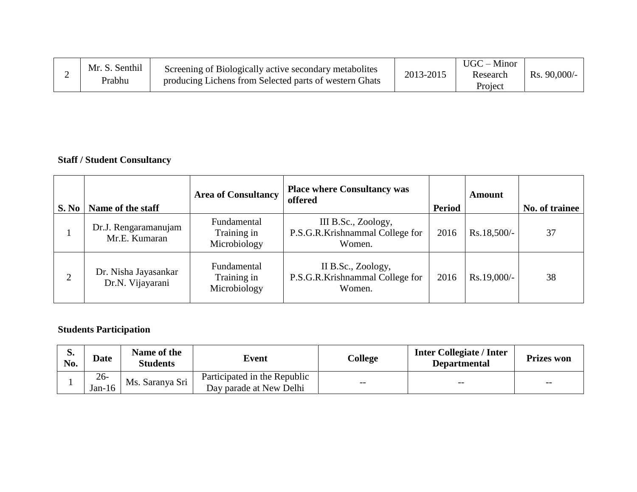|  | Mr. S. Senthil<br>Prabhu | Screening of Biologically active secondary metabolites<br>producing Lichens from Selected parts of western Ghats | 2013-2015 | $UGC - Minor$<br>Research<br>Project | $Rs. 90,000/$ - |
|--|--------------------------|------------------------------------------------------------------------------------------------------------------|-----------|--------------------------------------|-----------------|
|--|--------------------------|------------------------------------------------------------------------------------------------------------------|-----------|--------------------------------------|-----------------|

# **Staff / Student Consultancy**

| S. No | Name of the staff                        | <b>Area of Consultancy</b>                 | <b>Place where Consultancy was</b><br>offered                    | Period | <b>Amount</b> | No. of trainee |
|-------|------------------------------------------|--------------------------------------------|------------------------------------------------------------------|--------|---------------|----------------|
|       | Dr.J. Rengaramanujam<br>Mr.E. Kumaran    | Fundamental<br>Training in<br>Microbiology | III B.Sc., Zoology,<br>P.S.G.R.Krishnammal College for<br>Women. | 2016   | $Rs.18,500/-$ | 37             |
| 2     | Dr. Nisha Jayasankar<br>Dr.N. Vijayarani | Fundamental<br>Training in<br>Microbiology | II B.Sc., Zoology,<br>P.S.G.R.Krishnammal College for<br>Women.  | 2016   | Rs.19,000/-   | 38             |

# **Students Participation**

| p.<br>No. | <b>Date</b>      | Name of the<br><b>Students</b> | Event                                                   | College | <b>Inter Collegiate / Inter</b><br><b>Departmental</b> | <b>Prizes won</b> |
|-----------|------------------|--------------------------------|---------------------------------------------------------|---------|--------------------------------------------------------|-------------------|
|           | $26 -$<br>Jan-16 | Ms. Saranya Sri                | Participated in the Republic<br>Day parade at New Delhi | $- -$   | $- -$                                                  | $- -$             |